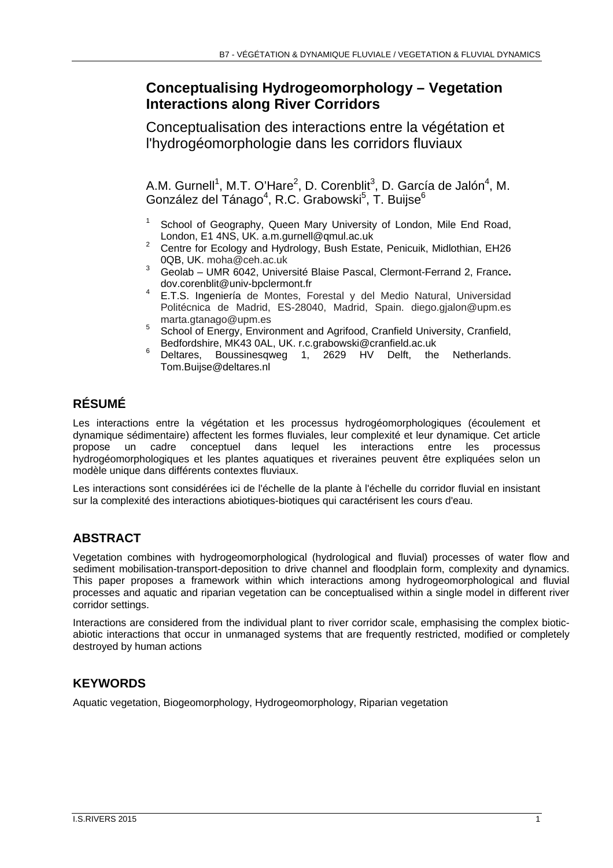# **Conceptualising Hydrogeomorphology – Vegetation Interactions along River Corridors**

Conceptualisation des interactions entre la végétation et l'hydrogéomorphologie dans les corridors fluviaux

A.M. Gurnell<sup>1</sup>, M.T. O'Hare<sup>2</sup>, D. Corenblit<sup>3</sup>, D. García de Jalón<sup>4</sup>, M. González del Tánago<sup>4</sup>, R.C. Grabowski<sup>5</sup>, T. Buijse<sup>6</sup>

- School of Geography, Queen Mary University of London, Mile End Road, London, E1 4NS, UK. a.m.gurnell@qmul.ac.uk<br><sup>2</sup> Centre for Ecology and Hydrology, Bush Estate, Penicuik, Midlothian, EH26
- 0QB, UK. moha@ceh.ac.uk
- 3 Geolab UMR 6042, Université Blaise Pascal, Clermont-Ferrand 2, France**.**
- dov.corenblit@univ-bpclermont.fr<br>E.T.S. Ingeniería de Montes, Forestal y del Medio Natural, Universidad Politécnica de Madrid, ES-28040, Madrid, Spain. diego.gjalon@upm.es
- marta.gtanago@upm.es<br>5 School of Energy, Environment and Agrifood, Cranfield University, Cranfield,
- Bedfordshire, MK43 0AL, UK. r.c.grabowski@cranfield.ac.uk<br>Deltares, Boussinesqweg 1, 2629 HV Delft, the Netherlands. Tom.Buijse@deltares.nl

# **RÉSUMÉ**

Les interactions entre la végétation et les processus hydrogéomorphologiques (écoulement et dynamique sédimentaire) affectent les formes fluviales, leur complexité et leur dynamique. Cet article cadre conceptuel dans lequel les interactions entre les hydrogéomorphologiques et les plantes aquatiques et riveraines peuvent être expliquées selon un modèle unique dans différents contextes fluviaux.

Les interactions sont considérées ici de l'échelle de la plante à l'échelle du corridor fluvial en insistant sur la complexité des interactions abiotiques-biotiques qui caractérisent les cours d'eau.

## **ABSTRACT**

Vegetation combines with hydrogeomorphological (hydrological and fluvial) processes of water flow and sediment mobilisation-transport-deposition to drive channel and floodplain form, complexity and dynamics. This paper proposes a framework within which interactions among hydrogeomorphological and fluvial processes and aquatic and riparian vegetation can be conceptualised within a single model in different river corridor settings.

Interactions are considered from the individual plant to river corridor scale, emphasising the complex bioticabiotic interactions that occur in unmanaged systems that are frequently restricted, modified or completely destroyed by human actions

### **KEYWORDS**

Aquatic vegetation, Biogeomorphology, Hydrogeomorphology, Riparian vegetation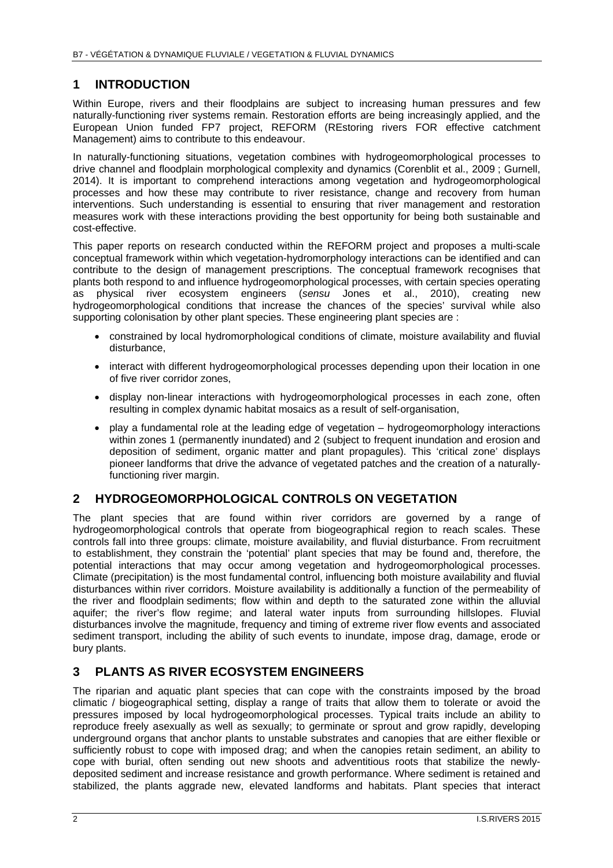### **1 INTRODUCTION**

Within Europe, rivers and their floodplains are subject to increasing human pressures and few naturally-functioning river systems remain. Restoration efforts are being increasingly applied, and the European Union funded FP7 project, REFORM (REstoring rivers FOR effective catchment Management) aims to contribute to this endeavour.

In naturally-functioning situations, vegetation combines with hydrogeomorphological processes to drive channel and floodplain morphological complexity and dynamics (Corenblit et al., 2009 ; Gurnell, 2014). It is important to comprehend interactions among vegetation and hydrogeomorphological processes and how these may contribute to river resistance, change and recovery from human interventions. Such understanding is essential to ensuring that river management and restoration measures work with these interactions providing the best opportunity for being both sustainable and cost-effective.

This paper reports on research conducted within the REFORM project and proposes a multi-scale conceptual framework within which vegetation-hydromorphology interactions can be identified and can contribute to the design of management prescriptions. The conceptual framework recognises that plants both respond to and influence hydrogeomorphological processes, with certain species operating as physical river ecosystem engineers (*sensu* Jones et al., 2010), creating new hydrogeomorphological conditions that increase the chances of the species' survival while also supporting colonisation by other plant species. These engineering plant species are :

- constrained by local hydromorphological conditions of climate, moisture availability and fluvial disturbance,
- interact with different hydrogeomorphological processes depending upon their location in one of five river corridor zones,
- display non-linear interactions with hydrogeomorphological processes in each zone, often resulting in complex dynamic habitat mosaics as a result of self-organisation,
- play a fundamental role at the leading edge of vegetation hydrogeomorphology interactions within zones 1 (permanently inundated) and 2 (subject to frequent inundation and erosion and deposition of sediment, organic matter and plant propagules). This 'critical zone' displays pioneer landforms that drive the advance of vegetated patches and the creation of a naturallyfunctioning river margin.

#### **2 HYDROGEOMORPHOLOGICAL CONTROLS ON VEGETATION**

The plant species that are found within river corridors are governed by a range of hydrogeomorphological controls that operate from biogeographical region to reach scales. These controls fall into three groups: climate, moisture availability, and fluvial disturbance. From recruitment to establishment, they constrain the 'potential' plant species that may be found and, therefore, the potential interactions that may occur among vegetation and hydrogeomorphological processes. Climate (precipitation) is the most fundamental control, influencing both moisture availability and fluvial disturbances within river corridors. Moisture availability is additionally a function of the permeability of the river and floodplain sediments; flow within and depth to the saturated zone within the alluvial aquifer; the river's flow regime; and lateral water inputs from surrounding hillslopes. Fluvial disturbances involve the magnitude, frequency and timing of extreme river flow events and associated sediment transport, including the ability of such events to inundate, impose drag, damage, erode or bury plants.

### **3 PLANTS AS RIVER ECOSYSTEM ENGINEERS**

The riparian and aquatic plant species that can cope with the constraints imposed by the broad climatic / biogeographical setting, display a range of traits that allow them to tolerate or avoid the pressures imposed by local hydrogeomorphological processes. Typical traits include an ability to reproduce freely asexually as well as sexually; to germinate or sprout and grow rapidly, developing underground organs that anchor plants to unstable substrates and canopies that are either flexible or sufficiently robust to cope with imposed drag; and when the canopies retain sediment, an ability to cope with burial, often sending out new shoots and adventitious roots that stabilize the newlydeposited sediment and increase resistance and growth performance. Where sediment is retained and stabilized, the plants aggrade new, elevated landforms and habitats. Plant species that interact